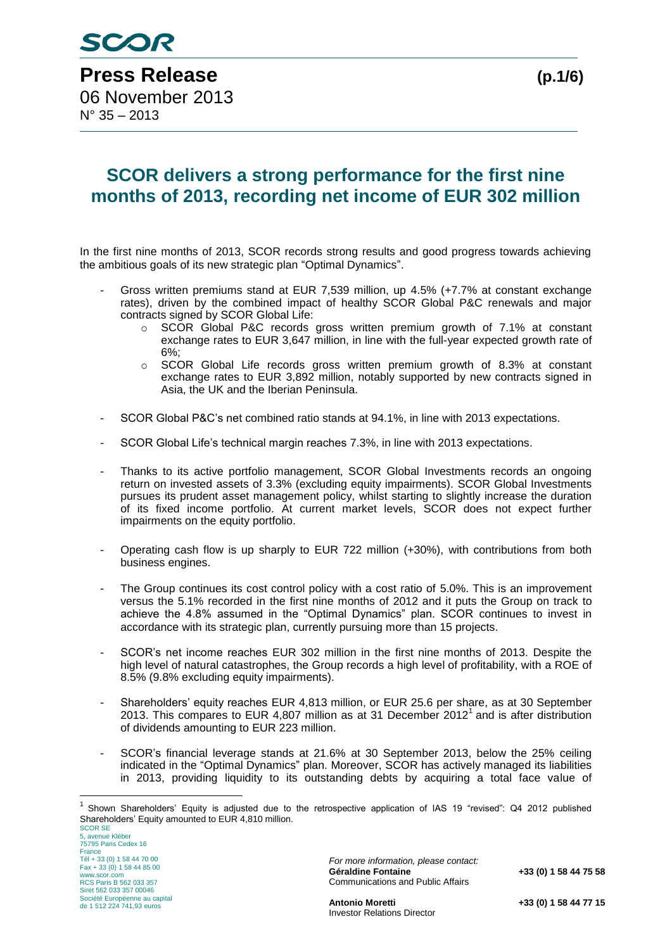# **SCOR delivers a strong performance for the first nine months of 2013, recording net income of EUR 302 million**

In the first nine months of 2013, SCOR records strong results and good progress towards achieving the ambitious goals of its new strategic plan "Optimal Dynamics".

- Gross written premiums stand at EUR 7,539 million, up 4.5% (+7.7% at constant exchange rates), driven by the combined impact of healthy SCOR Global P&C renewals and major contracts signed by SCOR Global Life:
	- o SCOR Global P&C records gross written premium growth of 7.1% at constant exchange rates to EUR 3,647 million, in line with the full-year expected growth rate of 6%;
	- o SCOR Global Life records gross written premium growth of 8.3% at constant exchange rates to EUR 3,892 million, notably supported by new contracts signed in Asia, the UK and the Iberian Peninsula.
- SCOR Global P&C's net combined ratio stands at 94.1%, in line with 2013 expectations.
- SCOR Global Life's technical margin reaches 7.3%, in line with 2013 expectations.
- Thanks to its active portfolio management, SCOR Global Investments records an ongoing return on invested assets of 3.3% (excluding equity impairments). SCOR Global Investments pursues its prudent asset management policy, whilst starting to slightly increase the duration of its fixed income portfolio. At current market levels, SCOR does not expect further impairments on the equity portfolio.
- Operating cash flow is up sharply to EUR 722 million (+30%), with contributions from both business engines.
- The Group continues its cost control policy with a cost ratio of 5.0%. This is an improvement versus the 5.1% recorded in the first nine months of 2012 and it puts the Group on track to achieve the 4.8% assumed in the "Optimal Dynamics" plan. SCOR continues to invest in accordance with its strategic plan, currently pursuing more than 15 projects.
- SCOR's net income reaches EUR 302 million in the first nine months of 2013. Despite the high level of natural catastrophes, the Group records a high level of profitability, with a ROE of 8.5% (9.8% excluding equity impairments).
- Shareholders' equity reaches EUR 4,813 million, or EUR 25.6 per share, as at 30 September 2013. This compares to EUR 4,807 million as at 31 December 2012<sup>1</sup> and is after distribution of dividends amounting to EUR 223 million.
- SCOR's financial leverage stands at 21.6% at 30 September 2013, below the 25% ceiling indicated in the "Optimal Dynamics" plan. Moreover, SCOR has actively managed its liabilities in 2013, providing liquidity to its outstanding debts by acquiring a total face value of

SCOR SE 5, avenue Kléber 75795 Paris Cedex 16 France Tél + 33 (0) 1 58 44 70 00 Fax + 33 (0) 1 58 44 85 00 www.scor.com RCS Paris B 562 033 357 Siret 562 033 357 00046 Société Européenne au capital de 1 512 224 741,93 euros

<u>.</u>

*For more information, please contact:* Communications and Public Affairs

**Géraldine Fontaine +33 (0) 1 58 44 75 58**

**Antonio Moretti +33 (0) 1 58 44 77 15** Investor Relations Director

<sup>1</sup> Shown Shareholders' Equity is adjusted due to the retrospective application of IAS 19 "revised": Q4 2012 published Shareholders' Equity amounted to EUR 4,810 million.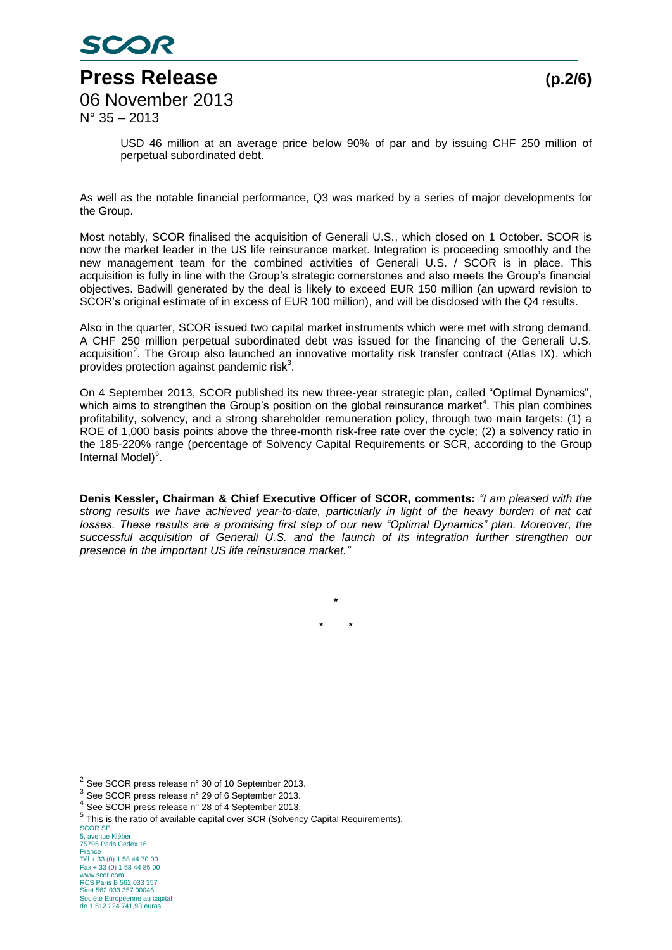

USD 46 million at an average price below 90% of par and by issuing CHF 250 million of perpetual subordinated debt.

As well as the notable financial performance, Q3 was marked by a series of major developments for the Group.

Most notably, SCOR finalised the acquisition of Generali U.S., which closed on 1 October. SCOR is now the market leader in the US life reinsurance market. Integration is proceeding smoothly and the new management team for the combined activities of Generali U.S. / SCOR is in place. This acquisition is fully in line with the Group's strategic cornerstones and also meets the Group's financial objectives. Badwill generated by the deal is likely to exceed EUR 150 million (an upward revision to SCOR's original estimate of in excess of EUR 100 million), and will be disclosed with the Q4 results.

Also in the quarter, SCOR issued two capital market instruments which were met with strong demand. A CHF 250 million perpetual subordinated debt was issued for the financing of the Generali U.S. acquisition<sup>2</sup>. The Group also launched an innovative mortality risk transfer contract (Atlas IX), which provides protection against pandemic risk<sup>3</sup>.

On 4 September 2013, SCOR published its new three-year strategic plan, called "Optimal Dynamics", which aims to strengthen the Group's position on the global reinsurance market<sup>4</sup>. This plan combines profitability, solvency, and a strong shareholder remuneration policy, through two main targets: (1) a ROE of 1,000 basis points above the three-month risk-free rate over the cycle; (2) a solvency ratio in the 185-220% range (percentage of Solvency Capital Requirements or SCR, according to the Group Internal Model)<sup>5</sup>.

**Denis Kessler, Chairman & Chief Executive Officer of SCOR, comments:** *"I am pleased with the strong results we have achieved year-to-date, particularly in light of the heavy burden of nat cat losses. These results are a promising first step of our new "Optimal Dynamics" plan. Moreover, the successful acquisition of Generali U.S. and the launch of its integration further strengthen our presence in the important US life reinsurance market."*

> **\* \* \***

<u>.</u>

<sup>2</sup> See SCOR press release n° 30 of 10 September 2013.

<sup>3</sup> See SCOR press release n° 29 of 6 September 2013.

<sup>4</sup> See SCOR press release n° 28 of 4 September 2013.

<sup>&</sup>lt;sup>5</sup> This is the ratio of available capital over SCR (Solvency Capital Requirements).

SCOR SE 5, avenue Kléber 75795 Paris Cedex 16 France Tél + 33 (0) 1 58 44 70 00 Fax + 33 (0) 1 58 44 85 00 www.scor.com RCS Paris B 562 033 357 Siret 562 033 357 00046 Société Européenne au capital de 1 512 224 741,93 euros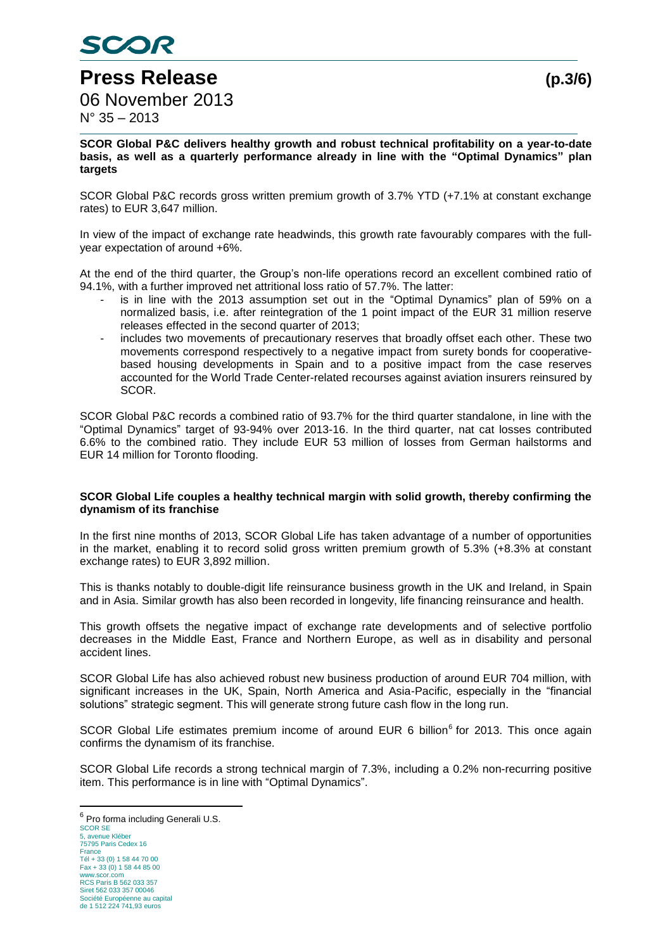

**SCOR Global P&C delivers healthy growth and robust technical profitability on a year-to-date basis, as well as a quarterly performance already in line with the "Optimal Dynamics" plan targets**

SCOR Global P&C records gross written premium growth of 3.7% YTD (+7.1% at constant exchange rates) to EUR 3,647 million.

In view of the impact of exchange rate headwinds, this growth rate favourably compares with the fullyear expectation of around +6%.

At the end of the third quarter, the Group's non-life operations record an excellent combined ratio of 94.1%, with a further improved net attritional loss ratio of 57.7%. The latter:

- is in line with the 2013 assumption set out in the "Optimal Dynamics" plan of 59% on a normalized basis, i.e. after reintegration of the 1 point impact of the EUR 31 million reserve releases effected in the second quarter of 2013;
- includes two movements of precautionary reserves that broadly offset each other. These two movements correspond respectively to a negative impact from surety bonds for cooperativebased housing developments in Spain and to a positive impact from the case reserves accounted for the World Trade Center-related recourses against aviation insurers reinsured by SCOR.

SCOR Global P&C records a combined ratio of 93.7% for the third quarter standalone, in line with the "Optimal Dynamics" target of 93-94% over 2013-16. In the third quarter, nat cat losses contributed 6.6% to the combined ratio. They include EUR 53 million of losses from German hailstorms and EUR 14 million for Toronto flooding.

#### **SCOR Global Life couples a healthy technical margin with solid growth, thereby confirming the dynamism of its franchise**

In the first nine months of 2013, SCOR Global Life has taken advantage of a number of opportunities in the market, enabling it to record solid gross written premium growth of 5.3% (+8.3% at constant exchange rates) to EUR 3,892 million.

This is thanks notably to double-digit life reinsurance business growth in the UK and Ireland, in Spain and in Asia. Similar growth has also been recorded in longevity, life financing reinsurance and health.

This growth offsets the negative impact of exchange rate developments and of selective portfolio decreases in the Middle East, France and Northern Europe, as well as in disability and personal accident lines.

SCOR Global Life has also achieved robust new business production of around EUR 704 million, with significant increases in the UK, Spain, North America and Asia-Pacific, especially in the "financial solutions" strategic segment. This will generate strong future cash flow in the long run.

SCOR Global Life estimates premium income of around EUR 6 billion<sup>6</sup> for 2013. This once again confirms the dynamism of its franchise.

SCOR Global Life records a strong technical margin of 7.3%, including a 0.2% non-recurring positive item. This performance is in line with "Optimal Dynamics".

SCOR SE avenue Kléber 75795 Paris Cedex 16 France Tél + 33 (0) 1 58 44 70 00 Fax + 33 (0) 1 58 44 85 00 www.scor.com RCS Paris B 562 033 357 Siret 562 033 357 00046 Société Européenne au capital de 1 512 224 741,93 euros 6 Pro forma including Generali U.S.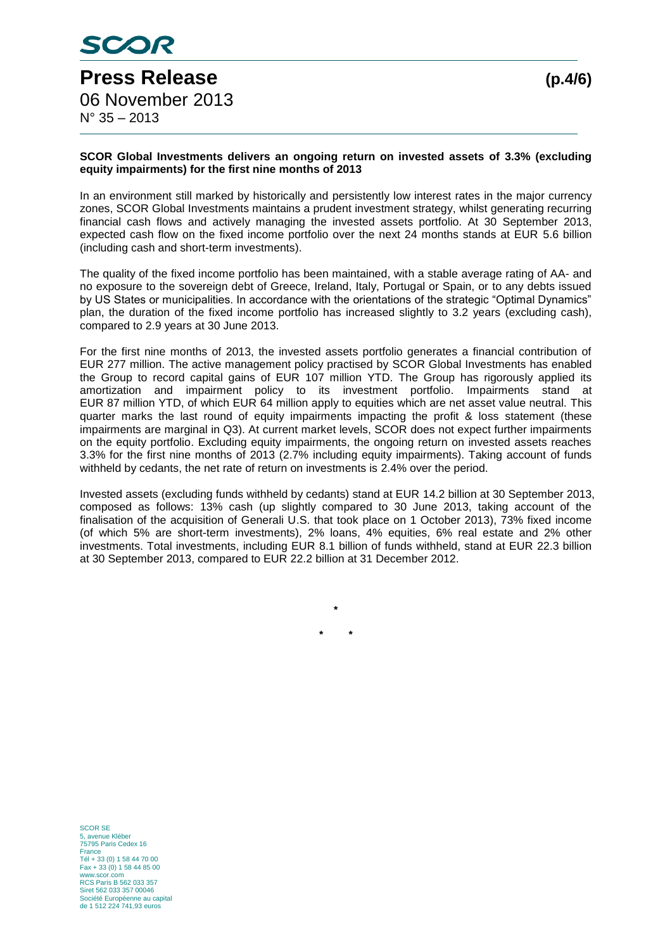

#### **SCOR Global Investments delivers an ongoing return on invested assets of 3.3% (excluding equity impairments) for the first nine months of 2013**

In an environment still marked by historically and persistently low interest rates in the major currency zones, SCOR Global Investments maintains a prudent investment strategy, whilst generating recurring financial cash flows and actively managing the invested assets portfolio. At 30 September 2013, expected cash flow on the fixed income portfolio over the next 24 months stands at EUR 5.6 billion (including cash and short-term investments).

The quality of the fixed income portfolio has been maintained, with a stable average rating of AA- and no exposure to the sovereign debt of Greece, Ireland, Italy, Portugal or Spain, or to any debts issued by US States or municipalities. In accordance with the orientations of the strategic "Optimal Dynamics" plan, the duration of the fixed income portfolio has increased slightly to 3.2 years (excluding cash), compared to 2.9 years at 30 June 2013.

For the first nine months of 2013, the invested assets portfolio generates a financial contribution of EUR 277 million. The active management policy practised by SCOR Global Investments has enabled the Group to record capital gains of EUR 107 million YTD. The Group has rigorously applied its amortization and impairment policy to its investment portfolio. Impairments stand at EUR 87 million YTD, of which EUR 64 million apply to equities which are net asset value neutral. This quarter marks the last round of equity impairments impacting the profit & loss statement (these impairments are marginal in Q3). At current market levels, SCOR does not expect further impairments on the equity portfolio. Excluding equity impairments, the ongoing return on invested assets reaches 3.3% for the first nine months of 2013 (2.7% including equity impairments). Taking account of funds withheld by cedants, the net rate of return on investments is 2.4% over the period.

Invested assets (excluding funds withheld by cedants) stand at EUR 14.2 billion at 30 September 2013, composed as follows: 13% cash (up slightly compared to 30 June 2013, taking account of the finalisation of the acquisition of Generali U.S. that took place on 1 October 2013), 73% fixed income (of which 5% are short-term investments), 2% loans, 4% equities, 6% real estate and 2% other investments. Total investments, including EUR 8.1 billion of funds withheld, stand at EUR 22.3 billion at 30 September 2013, compared to EUR 22.2 billion at 31 December 2012.

**\***

**\* \***

SCOR SE zurion.<br>
avenue Kléber 75795 Paris Cedex 16 France Tél + 33 (0) 1 58 44 70 00 Fax + 33 (0) 1 58 44 85 00 www.scor.com RCS Paris B 562 033 357 Siret 562 033 357 00046 Société Européenne au capital de 1 512 224 741,93 euros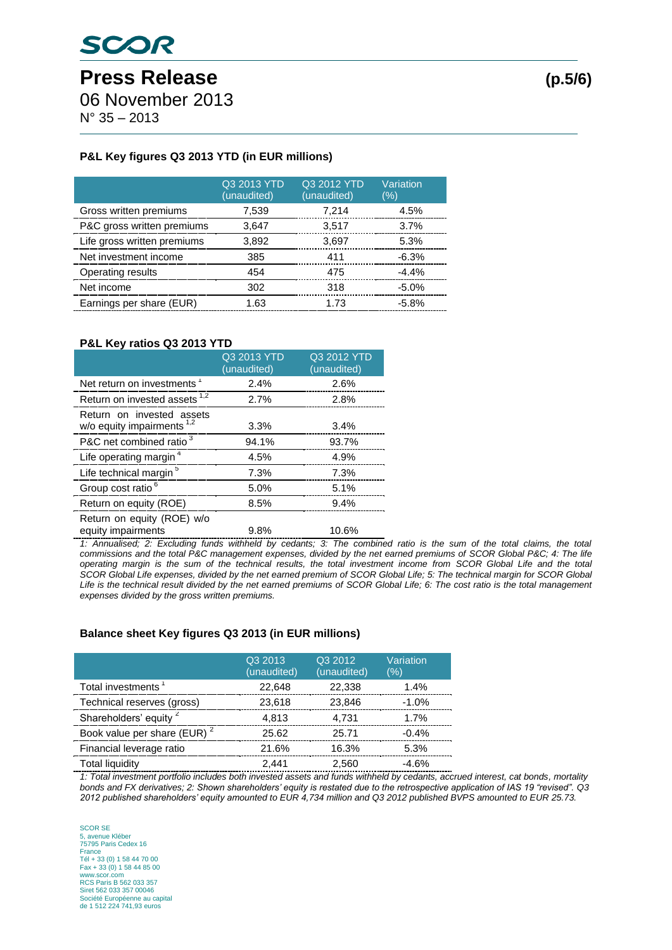06 November 2013

N° 35 – 2013

# **P&L Key figures Q3 2013 YTD (in EUR millions)**

|                             | Q3 2013 YTD<br>(unaudited) | Q3 2012 YTD<br>(unaudited) | Variation<br>(%) |
|-----------------------------|----------------------------|----------------------------|------------------|
| Gross written premiums      | 7,539                      | 7,214                      | 4.5%             |
| P&C gross written premiums  | 3,647                      | 3,517                      | 3.7%             |
| Life gross written premiums | 3,892                      | 3,697                      | 5.3%             |
| Net investment income       | 385                        | 411                        | $-6.3%$          |
| Operating results           | 454                        | 475                        | $-4.4%$          |
| Net income                  | 302                        | 318                        | $-5.0%$          |
| Earnings per share (EUR)    | 1.63                       | 1.73                       | $-5.8%$          |

### **P&L Key ratios Q3 2013 YTD**

|                                                           | Q3 2013 YTD<br>(unaudited) | Q3 2012 YTD<br>(unaudited) |
|-----------------------------------------------------------|----------------------------|----------------------------|
| Net return on investments <sup>1</sup>                    | 2.4%                       | 2.6%                       |
| Return on invested assets <sup>1,2</sup>                  | 2.7%                       | 2.8%                       |
| Return on invested assets<br>w/o equity impairments $1,2$ | 3.3%                       | 3.4%                       |
| P&C net combined ratio <sup>3</sup>                       | 94.1%                      | 93.7%                      |
| Life operating margin <sup>4</sup>                        | 4.5%                       | 4.9%                       |
| Life technical margin <sup>5</sup>                        | 7.3%                       | 7.3%                       |
| Group cost ratio <sup>6</sup>                             | 5.0%                       | 5.1%                       |
| Return on equity (ROE)                                    | 8.5%                       | 9.4%                       |
| Return on equity (ROE) w/o<br>equity impairments          | 9.8%                       | 10.6%                      |

*1: Annualised; 2: Excluding funds withheld by cedants; 3: The combined ratio is the sum of the total claims, the total*  commissions and the total P&C management expenses, divided by the net earned premiums of SCOR Global P&C; 4: The life *operating margin is the sum of the technical results, the total investment income from SCOR Global Life and the total SCOR Global Life expenses, divided by the net earned premium of SCOR Global Life; 5: The technical margin for SCOR Global* Life is the technical result divided by the net earned premiums of SCOR Global Life; 6: The cost ratio is the total management *expenses divided by the gross written premiums.*

## **Balance sheet Key figures Q3 2013 (in EUR millions)**

|                                         | Q3 2013<br>(unaudited) | Q3 2012<br>(unaudited) | Variation<br>(%) |
|-----------------------------------------|------------------------|------------------------|------------------|
| Total investments <sup>1</sup>          | 22.648                 | 22,338                 | 1.4%             |
| Technical reserves (gross)              | 23,618                 | 23,846                 | $-1.0%$          |
| Shareholders' equity <sup>2</sup>       | 4,813                  | 4,731                  | 1.7%             |
| Book value per share (EUR) <sup>2</sup> | 25.62                  | 25.71                  | $-0.4%$          |
| Financial leverage ratio                | 21.6%                  | 16.3%                  | 5.3%             |
| <b>Total liquidity</b>                  | 2,441                  | 2,560                  | $-4.6%$          |

*1: Total investment portfolio includes both invested assets and funds withheld by cedants, accrued interest, cat bonds, mortality bonds and FX derivatives; 2: Shown shareholders' equity is restated due to the retrospective application of IAS 19 "revised". Q3 2012 published shareholders' equity amounted to EUR 4,734 million and Q3 2012 published BVPS amounted to EUR 25.73.*

SCOR SE 5, avenue Kléber 75795 Paris Cedex 16 France Tél + 33 (0) 1 58 44 70 00 Fax + 33 (0) 1 58 44 85 00 www.scor.com RCS Paris B 562 033 357 Siret 562 033 357 00046 Société Européenne au capital de 1 512 224 741,93 euros